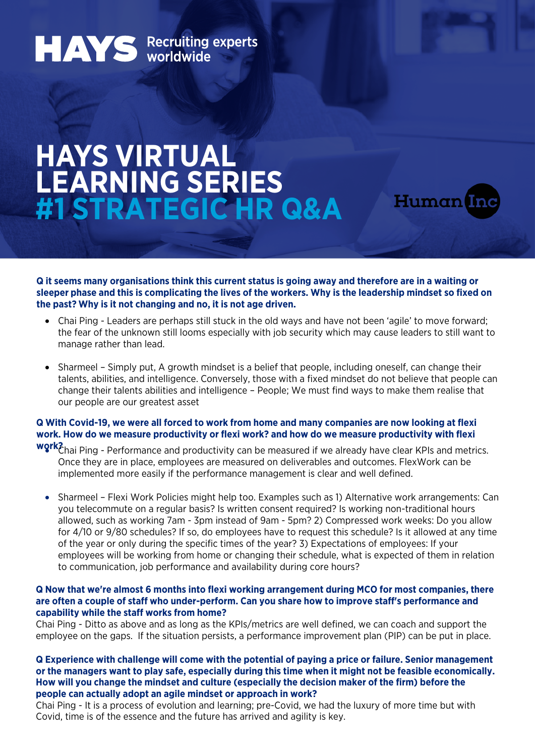# **HAYS** Recruiting experts

## **HAYS VIRTUAL LEARNING SERIES #1 STRATEGIC HR Q&A**



**Q it seems many organisations think this current status is going away and therefore are in a waiting or sleeper phase and this is complicating the lives of the workers. Why is the leadership mindset so fixed on the past? Why is it not changing and no, it is not age driven.** 

- Chai Ping Leaders are perhaps still stuck in the old ways and have not been 'agile' to move forward; the fear of the unknown still looms especially with job security which may cause leaders to still want to manage rather than lead.
- Sharmeel Simply put, A growth mindset is a belief that people, including oneself, can change their talents, abilities, and intelligence. Conversely, those with a fixed mindset do not believe that people can change their talents abilities and intelligence – People; We must find ways to make them realise that our people are our greatest asset

### **Q With Covid-19, we were all forced to work from home and many companies are now looking at flexi work. How do we measure productivity or flexi work? and how do we measure productivity with flexi**

- **work?**  Chai Ping Performance and productivity can be measured if we already have clear KPIs and metrics. Once they are in place, employees are measured on deliverables and outcomes. FlexWork can be implemented more easily if the performance management is clear and well defined.
	- Sharmeel Flexi Work Policies might help too. Examples such as 1) Alternative work arrangements: Can you telecommute on a regular basis? Is written consent required? Is working non-traditional hours allowed, such as working 7am - 3pm instead of 9am - 5pm? 2) Compressed work weeks: Do you allow for 4/10 or 9/80 schedules? If so, do employees have to request this schedule? Is it allowed at any time of the year or only during the specific times of the year? 3) Expectations of employees: If your employees will be working from home or changing their schedule, what is expected of them in relation to communication, job performance and availability during core hours?

#### **Q Now that we're almost 6 months into flexi working arrangement during MCO for most companies, there are often a couple of staff who under-perform. Can you share how to improve staff's performance and capability while the staff works from home?**

Chai Ping - Ditto as above and as long as the KPIs/metrics are well defined, we can coach and support the employee on the gaps. If the situation persists, a performance improvement plan (PIP) can be put in place.

**Q Experience with challenge will come with the potential of paying a price or failure. Senior management or the managers want to play safe, especially during this time when it might not be feasible economically. How will you change the mindset and culture (especially the decision maker of the firm) before the people can actually adopt an agile mindset or approach in work?** 

Chai Ping - It is a process of evolution and learning; pre-Covid, we had the luxury of more time but with Covid, time is of the essence and the future has arrived and agility is key.